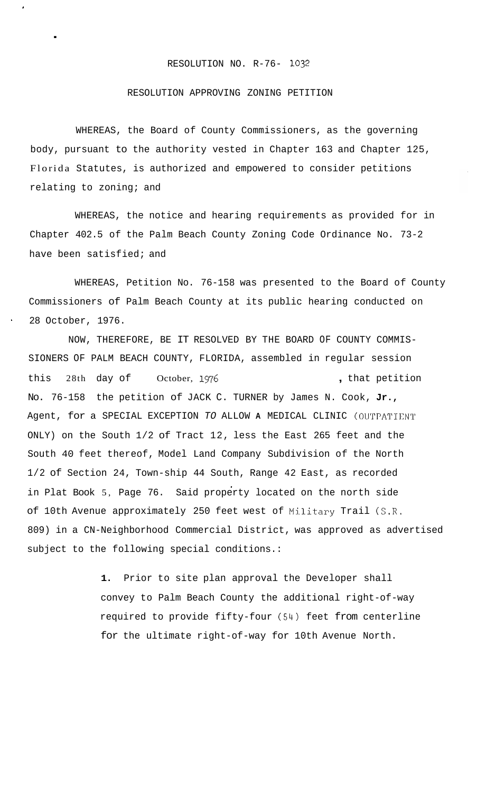## RESOLUTION NO. R-76- **1032**

## RESOLUTION APPROVING ZONING PETITION

.

WHEREAS, the Board of County Commissioners, as the governing body, pursuant to the authority vested in Chapter 163 and Chapter 125, Florida Statutes, is authorized and empowered to consider petitions relating to zoning; and

WHEREAS, the notice and hearing requirements as provided for in Chapter 402.5 of the Palm Beach County Zoning Code Ordinance No. 73-2 have been satisfied; and

WHEREAS, Petition No. 76-158 was presented to the Board of County Commissioners of Palm Beach County at its public hearing conducted on 28 October, 1976.

NOW, THEREFORE, BE IT RESOLVED BY THE BOARD OF COUNTY COMMIS-SIONERS OF PALM BEACH COUNTY, FLORIDA, assembled in regular session this 28th day of October, 1976 **... ... ... ... ... ...** that petition No. 76-158 the petition of JACK C. TURNER by James N. Cook, **Jr.,**  Agent, for a SPECIAL EXCEPTION *TO* ALLOW **A** MEDICAL CLINIC (OUTPAT'ICNT ONLY) on the South 1/2 of Tract 12, less the East 265 feet and the South 40 feet thereof, Model Land Company Subdivision of the North 1/2 of Section 24, Town-ship 44 South, Range 42 East, as recorded in Plat Book 5, Page 76. Said property located on the north side of 10th Avenue approximately 250 feet west of Military Trail (S.R. 809) in a CN-Neighborhood Commercial District, was approved as advertised subject to the following special conditions.:

> **1.** Prior to site plan approval the Developer shall convey to Palm Beach County the additional right-of-way required to provide fifty-four (54) feet from centerline for the ultimate right-of-way for 10th Avenue North.